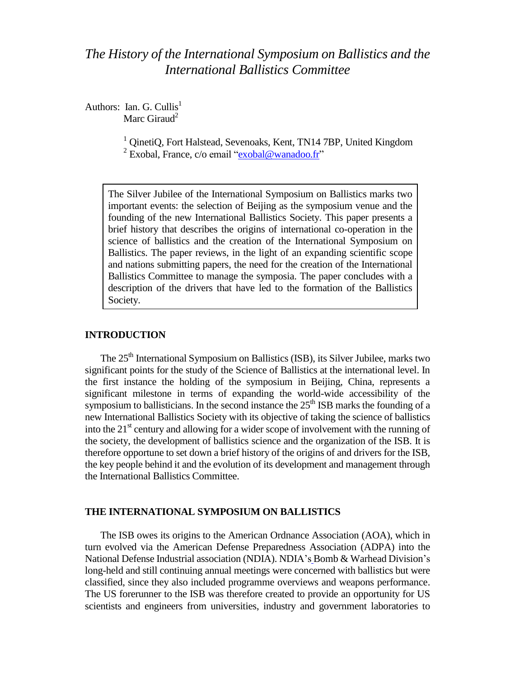# *The History of the International Symposium on Ballistics and the International Ballistics Committee*

Authors: Ian. G. Cullis<sup>1</sup> Marc Giraud $<sup>2</sup>$ </sup>

> <sup>1</sup> QinetiQ, Fort Halstead, Sevenoaks, Kent, TN14 7BP, United Kingdom <sup>2</sup> Exobal, France, c/o email ["exobal@wanadoo.fr"](mailto:exobal@wanadoo.fr)

The Silver Jubilee of the International Symposium on Ballistics marks two important events: the selection of Beijing as the symposium venue and the founding of the new International Ballistics Society. This paper presents a brief history that describes the origins of international co-operation in the science of ballistics and the creation of the International Symposium on Ballistics. The paper reviews, in the light of an expanding scientific scope and nations submitting papers, the need for the creation of the International Ballistics Committee to manage the symposia. The paper concludes with a description of the drivers that have led to the formation of the Ballistics Society.

## **INTRODUCTION**

The 25<sup>th</sup> International Symposium on Ballistics (ISB), its Silver Jubilee, marks two significant points for the study of the Science of Ballistics at the international level. In the first instance the holding of the symposium in Beijing, China, represents a significant milestone in terms of expanding the world-wide accessibility of the symposium to ballisticians. In the second instance the  $25<sup>th</sup>$  ISB marks the founding of a new International Ballistics Society with its objective of taking the science of ballistics into the  $21<sup>st</sup>$  century and allowing for a wider scope of involvement with the running of the society, the development of ballistics science and the organization of the ISB. It is therefore opportune to set down a brief history of the origins of and drivers for the ISB, the key people behind it and the evolution of its development and management through the International Ballistics Committee.

## **THE INTERNATIONAL SYMPOSIUM ON BALLISTICS**

The ISB owes its origins to the American Ordnance Association (AOA), which in turn evolved via the American Defense Preparedness Association (ADPA) into the National Defense Industrial association (NDIA). NDIA"s Bomb & Warhead Division"s long-held and still continuing annual meetings were concerned with ballistics but were classified, since they also included programme overviews and weapons performance. The US forerunner to the ISB was therefore created to provide an opportunity for US scientists and engineers from universities, industry and government laboratories to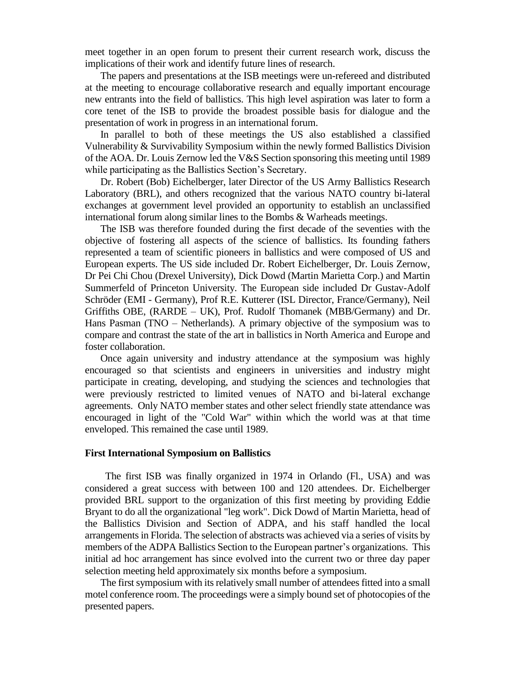meet together in an open forum to present their current research work, discuss the implications of their work and identify future lines of research.

The papers and presentations at the ISB meetings were un-refereed and distributed at the meeting to encourage collaborative research and equally important encourage new entrants into the field of ballistics. This high level aspiration was later to form a core tenet of the ISB to provide the broadest possible basis for dialogue and the presentation of work in progress in an international forum.

In parallel to both of these meetings the US also established a classified Vulnerability & Survivability Symposium within the newly formed Ballistics Division of the AOA. Dr. Louis Zernow led the V&S Section sponsoring this meeting until 1989 while participating as the Ballistics Section's Secretary.

Dr. Robert (Bob) Eichelberger, later Director of the US Army Ballistics Research Laboratory (BRL), and others recognized that the various NATO country bi-lateral exchanges at government level provided an opportunity to establish an unclassified international forum along similar lines to the Bombs & Warheads meetings.

The ISB was therefore founded during the first decade of the seventies with the objective of fostering all aspects of the science of ballistics. Its founding fathers represented a team of scientific pioneers in ballistics and were composed of US and European experts. The US side included Dr. Robert Eichelberger, Dr. Louis Zernow, Dr Pei Chi Chou (Drexel University), Dick Dowd (Martin Marietta Corp.) and Martin Summerfeld of Princeton University. The European side included Dr Gustav-Adolf Schröder (EMI - Germany), Prof R.E. Kutterer (ISL Director, France/Germany), Neil Griffiths OBE, (RARDE – UK), Prof. Rudolf Thomanek (MBB/Germany) and Dr. Hans Pasman (TNO – Netherlands). A primary objective of the symposium was to compare and contrast the state of the art in ballistics in North America and Europe and foster collaboration.

Once again university and industry attendance at the symposium was highly encouraged so that scientists and engineers in universities and industry might participate in creating, developing, and studying the sciences and technologies that were previously restricted to limited venues of NATO and bi-lateral exchange agreements. Only NATO member states and other select friendly state attendance was encouraged in light of the "Cold War" within which the world was at that time enveloped. This remained the case until 1989.

## **First International Symposium on Ballistics**

 The first ISB was finally organized in 1974 in Orlando (Fl., USA) and was considered a great success with between 100 and 120 attendees. Dr. Eichelberger provided BRL support to the organization of this first meeting by providing Eddie Bryant to do all the organizational "leg work". Dick Dowd of Martin Marietta, head of the Ballistics Division and Section of ADPA, and his staff handled the local arrangements in Florida. The selection of abstracts was achieved via a series of visits by members of the ADPA Ballistics Section to the European partner"s organizations. This initial ad hoc arrangement has since evolved into the current two or three day paper selection meeting held approximately six months before a symposium.

The first symposium with its relatively small number of attendees fitted into a small motel conference room. The proceedings were a simply bound set of photocopies of the presented papers.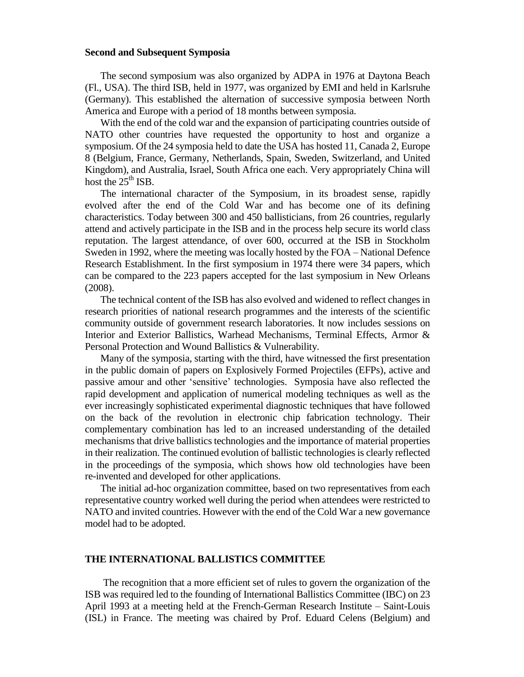## **Second and Subsequent Symposia**

The second symposium was also organized by ADPA in 1976 at Daytona Beach (Fl., USA). The third ISB, held in 1977, was organized by EMI and held in Karlsruhe (Germany). This established the alternation of successive symposia between North America and Europe with a period of 18 months between symposia.

With the end of the cold war and the expansion of participating countries outside of NATO other countries have requested the opportunity to host and organize a symposium. Of the 24 symposia held to date the USA has hosted 11, Canada 2, Europe 8 (Belgium, France, Germany, Netherlands, Spain, Sweden, Switzerland, and United Kingdom), and Australia, Israel, South Africa one each. Very appropriately China will host the  $25<sup>th</sup>$  ISB.

The international character of the Symposium, in its broadest sense, rapidly evolved after the end of the Cold War and has become one of its defining characteristics. Today between 300 and 450 ballisticians, from 26 countries, regularly attend and actively participate in the ISB and in the process help secure its world class reputation. The largest attendance, of over 600, occurred at the ISB in Stockholm Sweden in 1992, where the meeting was locally hosted by the FOA – National Defence Research Establishment. In the first symposium in 1974 there were 34 papers, which can be compared to the 223 papers accepted for the last symposium in New Orleans (2008).

The technical content of the ISB has also evolved and widened to reflect changes in research priorities of national research programmes and the interests of the scientific community outside of government research laboratories. It now includes sessions on Interior and Exterior Ballistics, Warhead Mechanisms, Terminal Effects, Armor & Personal Protection and Wound Ballistics & Vulnerability.

Many of the symposia, starting with the third, have witnessed the first presentation in the public domain of papers on Explosively Formed Projectiles (EFPs), active and passive amour and other "sensitive" technologies. Symposia have also reflected the rapid development and application of numerical modeling techniques as well as the ever increasingly sophisticated experimental diagnostic techniques that have followed on the back of the revolution in electronic chip fabrication technology. Their complementary combination has led to an increased understanding of the detailed mechanisms that drive ballistics technologies and the importance of material properties in their realization. The continued evolution of ballistic technologies is clearly reflected in the proceedings of the symposia, which shows how old technologies have been re-invented and developed for other applications.

The initial ad-hoc organization committee, based on two representatives from each representative country worked well during the period when attendees were restricted to NATO and invited countries. However with the end of the Cold War a new governance model had to be adopted.

## **THE INTERNATIONAL BALLISTICS COMMITTEE**

The recognition that a more efficient set of rules to govern the organization of the ISB was required led to the founding of International Ballistics Committee (IBC) on 23 April 1993 at a meeting held at the French-German Research Institute – Saint-Louis (ISL) in France. The meeting was chaired by Prof. Eduard Celens (Belgium) and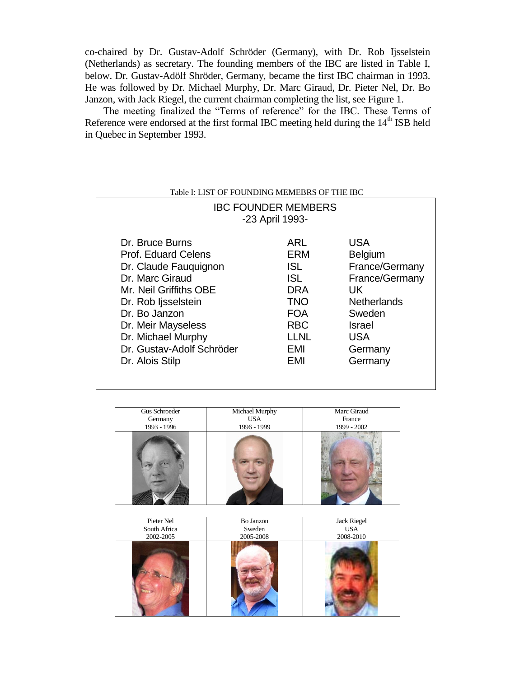co-chaired by Dr. Gustav-Adolf Schröder (Germany), with Dr. Rob Ijsselstein (Netherlands) as secretary. The founding members of the IBC are listed in Table I, below. Dr. Gustav-Adölf Shröder, Germany, became the first IBC chairman in 1993. He was followed by Dr. Michael Murphy, Dr. Marc Giraud, Dr. Pieter Nel, Dr. Bo Janzon, with Jack Riegel, the current chairman completing the list, see Figure 1.

The meeting finalized the "Terms of reference" for the IBC. These Terms of Reference were endorsed at the first formal IBC meeting held during the 14<sup>th</sup> ISB held in Quebec in September 1993.

# Table I: LIST OF FOUNDING MEMEBRS OF THE IBC

| <b>IBC FOUNDER MEMBERS</b><br>-23 April 1993- |            |                    |  |
|-----------------------------------------------|------------|--------------------|--|
| Dr. Bruce Burns                               | ARI        | <b>USA</b>         |  |
| <b>Prof. Eduard Celens</b>                    | ERM        | <b>Belgium</b>     |  |
| Dr. Claude Fauguignon                         | <b>ISL</b> | France/Germany     |  |
| Dr. Marc Giraud                               | <b>ISL</b> | France/Germany     |  |
| Mr. Neil Griffiths OBE                        | <b>DRA</b> | UK.                |  |
| Dr. Rob Ijsselstein                           | <b>TNO</b> | <b>Netherlands</b> |  |
| Dr. Bo Janzon                                 | <b>FOA</b> | Sweden             |  |
| Dr. Meir Mayseless                            | <b>RBC</b> | Israel             |  |
| Dr. Michael Murphy                            | LLNL       | <b>USA</b>         |  |
| Dr. Gustav-Adolf Schröder                     | EMI        | Germany            |  |
| Dr. Alois Stilp                               | EMI        | Germany            |  |

| Gus Schroeder<br>Germany<br>1993 - 1996 | Michael Murphy<br><b>USA</b><br>1996 - 1999 | Marc Giraud<br>France<br>1999 - 2002 |
|-----------------------------------------|---------------------------------------------|--------------------------------------|
|                                         |                                             |                                      |
| Pieter Nel                              | Bo Janzon                                   | <b>Jack Riegel</b>                   |
| South Africa                            | Sweden                                      | <b>USA</b>                           |
| 2002-2005                               | 2005-2008                                   | 2008-2010                            |
|                                         |                                             |                                      |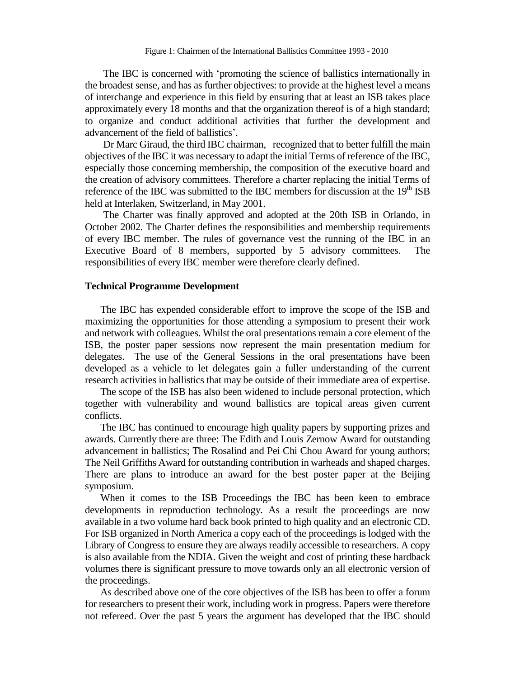The IBC is concerned with "promoting the science of ballistics internationally in the broadest sense, and has as further objectives: to provide at the highest level a means of interchange and experience in this field by ensuring that at least an ISB takes place approximately every 18 months and that the organization thereof is of a high standard; to organize and conduct additional activities that further the development and advancement of the field of ballistics".

Dr Marc Giraud, the third IBC chairman, recognized that to better fulfill the main objectives of the IBC it was necessary to adapt the initial Terms of reference of the IBC, especially those concerning membership, the composition of the executive board and the creation of advisory committees. Therefore a charter replacing the initial Terms of reference of the IBC was submitted to the IBC members for discussion at the  $19<sup>th</sup>$  ISB held at Interlaken, Switzerland, in May 2001.

The Charter was finally approved and adopted at the 20th ISB in Orlando, in October 2002. The Charter defines the responsibilities and membership requirements of every IBC member. The rules of governance vest the running of the IBC in an Executive Board of 8 members, supported by 5 advisory committees. The responsibilities of every IBC member were therefore clearly defined.

#### **Technical Programme Development**

The IBC has expended considerable effort to improve the scope of the ISB and maximizing the opportunities for those attending a symposium to present their work and network with colleagues. Whilst the oral presentations remain a core element of the ISB, the poster paper sessions now represent the main presentation medium for delegates. The use of the General Sessions in the oral presentations have been developed as a vehicle to let delegates gain a fuller understanding of the current research activities in ballistics that may be outside of their immediate area of expertise.

The scope of the ISB has also been widened to include personal protection, which together with vulnerability and wound ballistics are topical areas given current conflicts.

The IBC has continued to encourage high quality papers by supporting prizes and awards. Currently there are three: The Edith and Louis Zernow Award for outstanding advancement in ballistics; The Rosalind and Pei Chi Chou Award for young authors; The Neil Griffiths Award for outstanding contribution in warheads and shaped charges. There are plans to introduce an award for the best poster paper at the Beijing symposium.

When it comes to the ISB Proceedings the IBC has been keen to embrace developments in reproduction technology. As a result the proceedings are now available in a two volume hard back book printed to high quality and an electronic CD. For ISB organized in North America a copy each of the proceedings is lodged with the Library of Congress to ensure they are always readily accessible to researchers. A copy is also available from the NDIA. Given the weight and cost of printing these hardback volumes there is significant pressure to move towards only an all electronic version of the proceedings.

As described above one of the core objectives of the ISB has been to offer a forum for researchers to present their work, including work in progress. Papers were therefore not refereed. Over the past 5 years the argument has developed that the IBC should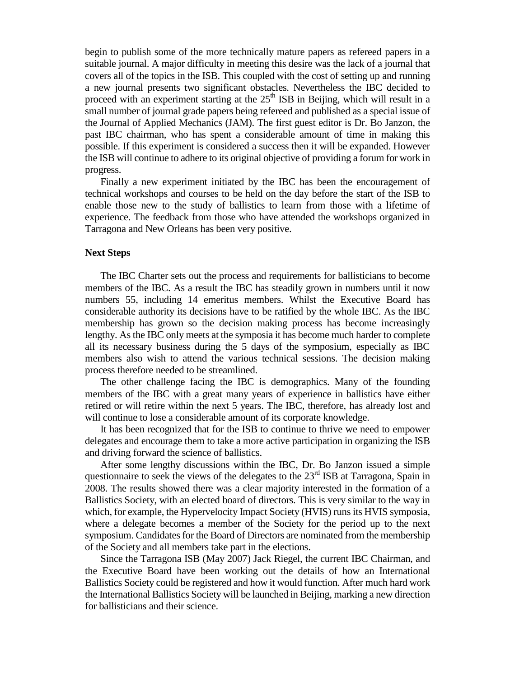begin to publish some of the more technically mature papers as refereed papers in a suitable journal. A major difficulty in meeting this desire was the lack of a journal that covers all of the topics in the ISB. This coupled with the cost of setting up and running a new journal presents two significant obstacles. Nevertheless the IBC decided to proceed with an experiment starting at the  $25<sup>th</sup>$  ISB in Beijing, which will result in a small number of journal grade papers being refereed and published as a special issue of the Journal of Applied Mechanics (JAM). The first guest editor is Dr. Bo Janzon, the past IBC chairman, who has spent a considerable amount of time in making this possible. If this experiment is considered a success then it will be expanded. However the ISB will continue to adhere to its original objective of providing a forum for work in progress.

Finally a new experiment initiated by the IBC has been the encouragement of technical workshops and courses to be held on the day before the start of the ISB to enable those new to the study of ballistics to learn from those with a lifetime of experience. The feedback from those who have attended the workshops organized in Tarragona and New Orleans has been very positive.

## **Next Steps**

The IBC Charter sets out the process and requirements for ballisticians to become members of the IBC. As a result the IBC has steadily grown in numbers until it now numbers 55, including 14 emeritus members. Whilst the Executive Board has considerable authority its decisions have to be ratified by the whole IBC. As the IBC membership has grown so the decision making process has become increasingly lengthy. As the IBC only meets at the symposia it has become much harder to complete all its necessary business during the 5 days of the symposium, especially as IBC members also wish to attend the various technical sessions. The decision making process therefore needed to be streamlined.

The other challenge facing the IBC is demographics. Many of the founding members of the IBC with a great many years of experience in ballistics have either retired or will retire within the next 5 years. The IBC, therefore, has already lost and will continue to lose a considerable amount of its corporate knowledge.

It has been recognized that for the ISB to continue to thrive we need to empower delegates and encourage them to take a more active participation in organizing the ISB and driving forward the science of ballistics.

After some lengthy discussions within the IBC, Dr. Bo Janzon issued a simple questionnaire to seek the views of the delegates to the 23<sup>rd</sup> ISB at Tarragona, Spain in 2008. The results showed there was a clear majority interested in the formation of a Ballistics Society, with an elected board of directors. This is very similar to the way in which, for example, the Hypervelocity Impact Society (HVIS) runs its HVIS symposia, where a delegate becomes a member of the Society for the period up to the next symposium. Candidates for the Board of Directors are nominated from the membership of the Society and all members take part in the elections.

Since the Tarragona ISB (May 2007) Jack Riegel, the current IBC Chairman, and the Executive Board have been working out the details of how an International Ballistics Society could be registered and how it would function. After much hard work the International Ballistics Society will be launched in Beijing, marking a new direction for ballisticians and their science.